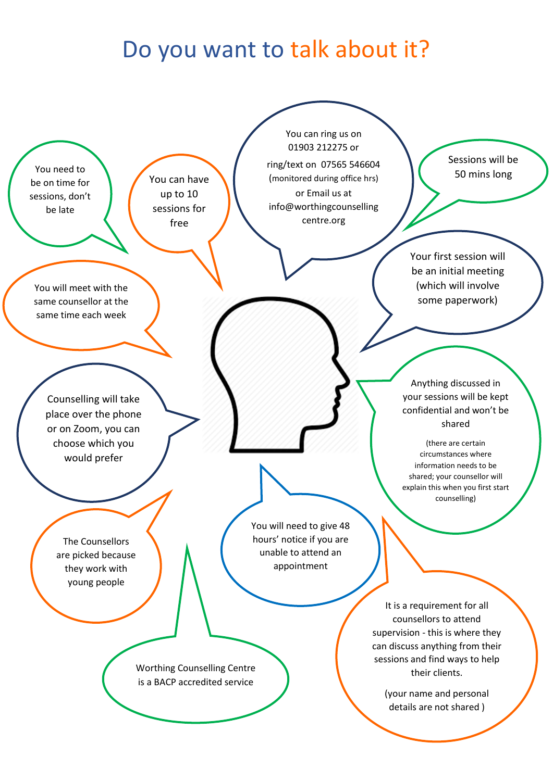## Do you want to talk about it?